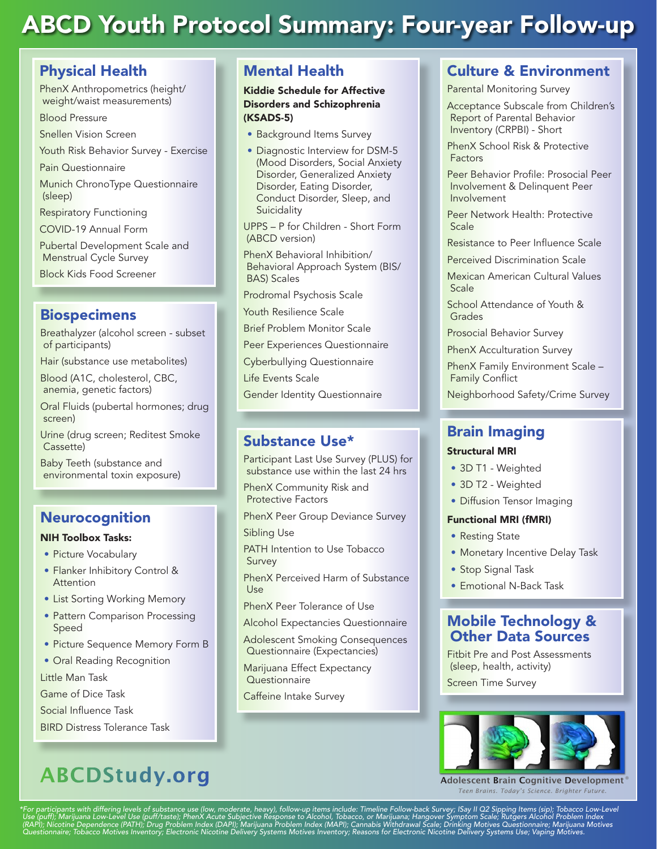# ABCD Youth Protocol Summary: Four-year Follow-up

## Physical Health

PhenX Anthropometrics (height/ weight/waist measurements)

Blood Pressure

Snellen Vision Screen

Youth Risk Behavior Survey - Exercise

Pain Questionnaire

Munich ChronoType Questionnaire (sleep)

Respiratory Functioning

COVID-19 Annual Form

Pubertal Development Scale and Menstrual Cycle Survey

Block Kids Food Screener

## **Biospecimens**

Breathalyzer (alcohol screen - subset of participants)

Hair (substance use metabolites)

Blood (A1C, cholesterol, CBC, anemia, genetic factors)

Oral Fluids (pubertal hormones; drug screen)

Urine (drug screen; Reditest Smoke Cassette)

Baby Teeth (substance and environmental toxin exposure)

## Neurocognition

#### NIH Toolbox Tasks:

- Picture Vocabulary
- Flanker Inhibitory Control & Attention
- List Sorting Working Memory
- Pattern Comparison Processing Speed
- Picture Sequence Memory Form B
- Oral Reading Recognition

Little Man Task

Game of Dice Task

Social Influence Task

BIRD Distress Tolerance Task

## **[ABCDStudy.org](http://ABCDStudy.org)**

## Mental Health

Kiddie Schedule for Affective Disorders and Schizophrenia (KSADS-5)

- Background Items Survey
- Diagnostic Interview for DSM-5 (Mood Disorders, Social Anxiety Disorder, Generalized Anxiety Disorder, Eating Disorder, Conduct Disorder, Sleep, and **Suicidality**

UPPS – P for Children - Short Form (ABCD version)

PhenX Behavioral Inhibition/ Behavioral Approach System (BIS/ BAS) Scales

Prodromal Psychosis Scale

Youth Resilience Scale

Brief Problem Monitor Scale

Peer Experiences Questionnaire

Cyberbullying Questionnaire

Life Events Scale

Gender Identity Questionnaire

## Substance Use\*

Participant Last Use Survey (PLUS) for substance use within the last 24 hrs

PhenX Community Risk and Protective Factors

PhenX Peer Group Deviance Survey

Sibling Use

PATH Intention to Use Tobacco Survey

PhenX Perceived Harm of Substance Use

PhenX Peer Tolerance of Use

Alcohol Expectancies Questionnaire

Adolescent Smoking Consequences Questionnaire (Expectancies)

Marijuana Effect Expectancy **Questionnaire** 

Caffeine Intake Survey

## Culture & Environment

Parental Monitoring Survey

Acceptance Subscale from Children's Report of Parental Behavior Inventory (CRPBI) - Short

PhenX School Risk & Protective Factors

Peer Behavior Profile: Prosocial Peer Involvement & Delinquent Peer Involvement

Peer Network Health: Protective Scale

Resistance to Peer Influence Scale

Perceived Discrimination Scale

Mexican American Cultural Values Scale

School Attendance of Youth & Grades

Prosocial Behavior Survey

PhenX Acculturation Survey

PhenX Family Environment Scale – Family Conflict

Neighborhood Safety/Crime Survey

## Brain Imaging

#### Structural MRI

- 3D T1 Weighted
- 3D T2 Weighted
- Diffusion Tensor Imaging

#### Functional MRI (fMRI)

- Resting State
- Monetary Incentive Delay Task
- Stop Signal Task
- Emotional N-Back Task

## Mobile Technology & Other Data Sources

Fitbit Pre and Post Assessments (sleep, health, activity)

Screen Time Survey



**[Adolescent Brain Cognitive Development](https://abcdstudy.org)** *Teen Brains. Today's Science. Brighter Future.*

**®**

\*For participants with differing levels of substance use (low, moderate, heavy), follow-up items include: Timeline Follow-back Survey; ISay II Q2 Sipping Items (sip); Tobacco Low-Level<br>Use (puff); Marijuana Low-Level Use (